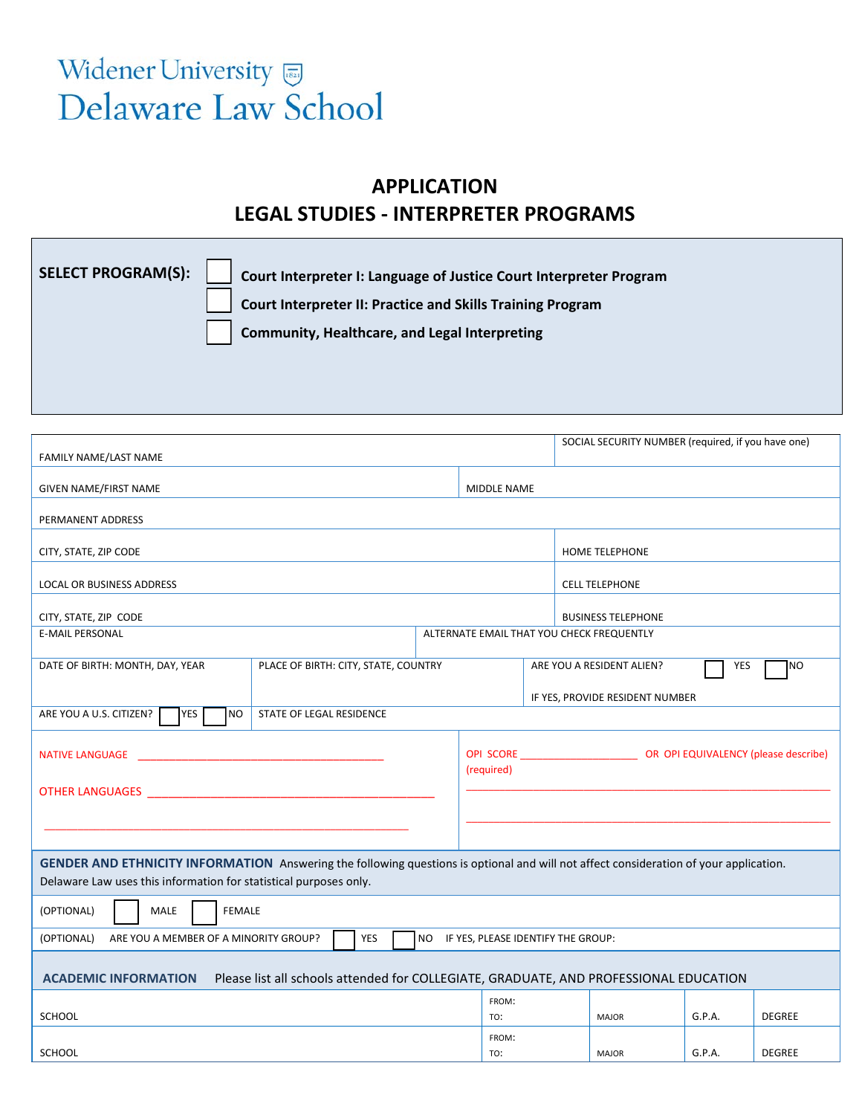## Widener University Delaware Law School

## **APPLICATION LEGAL STUDIES - INTERPRETER PROGRAMS**

| SELECT PROGRAM(S): | Court Interpreter I: Language of Justice Court Interpreter Program |
|--------------------|--------------------------------------------------------------------|
|                    | Court Interpreter II: Practice and Skills Training Program         |
|                    | <b>Community, Healthcare, and Legal Interpreting</b>               |
|                    |                                                                    |
|                    |                                                                    |

|                                                                                                                                       |                          |                                 |                                             |                                         | SOCIAL SECURITY NUMBER (required, if you have one) |        |               |  |
|---------------------------------------------------------------------------------------------------------------------------------------|--------------------------|---------------------------------|---------------------------------------------|-----------------------------------------|----------------------------------------------------|--------|---------------|--|
| FAMILY NAME/LAST NAME                                                                                                                 |                          |                                 |                                             |                                         |                                                    |        |               |  |
| <b>GIVEN NAME/FIRST NAME</b>                                                                                                          |                          |                                 | MIDDLE NAME                                 |                                         |                                                    |        |               |  |
| PERMANENT ADDRESS                                                                                                                     |                          |                                 |                                             |                                         |                                                    |        |               |  |
| CITY, STATE, ZIP CODE                                                                                                                 |                          |                                 |                                             | <b>HOME TELEPHONE</b>                   |                                                    |        |               |  |
| <b>LOCAL OR BUSINESS ADDRESS</b>                                                                                                      |                          |                                 |                                             |                                         | <b>CELL TELEPHONE</b>                              |        |               |  |
| CITY, STATE, ZIP CODE                                                                                                                 |                          |                                 |                                             | <b>BUSINESS TELEPHONE</b>               |                                                    |        |               |  |
| <b>E-MAIL PERSONAL</b>                                                                                                                |                          |                                 | ALTERNATE EMAIL THAT YOU CHECK FREQUENTLY   |                                         |                                                    |        |               |  |
|                                                                                                                                       |                          |                                 |                                             |                                         |                                                    |        |               |  |
| PLACE OF BIRTH: CITY, STATE, COUNTRY<br>DATE OF BIRTH: MONTH, DAY, YEAR                                                               |                          |                                 |                                             | ARE YOU A RESIDENT ALIEN?<br>YES<br>NO) |                                                    |        |               |  |
|                                                                                                                                       |                          | IF YES, PROVIDE RESIDENT NUMBER |                                             |                                         |                                                    |        |               |  |
| <b>YES</b><br><b>NO</b><br>ARE YOU A U.S. CITIZEN?                                                                                    | STATE OF LEGAL RESIDENCE |                                 |                                             |                                         |                                                    |        |               |  |
|                                                                                                                                       |                          |                                 |                                             |                                         |                                                    |        |               |  |
| <b>NATIVE LANGUAGE</b>                                                                                                                |                          |                                 | OPI SCORE OPI EQUIVALENCY (please describe) |                                         |                                                    |        |               |  |
|                                                                                                                                       |                          |                                 | (required)                                  |                                         |                                                    |        |               |  |
| <b>OTHER LANGUAGES AND STATE OF A STATE OF A STATE OF A STATE OF A STATE OF A STATE OF A STATE OF A STATE OF A ST</b>                 |                          |                                 |                                             |                                         |                                                    |        |               |  |
|                                                                                                                                       |                          |                                 |                                             |                                         |                                                    |        |               |  |
|                                                                                                                                       |                          |                                 |                                             |                                         |                                                    |        |               |  |
| GENDER AND ETHNICITY INFORMATION Answering the following questions is optional and will not affect consideration of your application. |                          |                                 |                                             |                                         |                                                    |        |               |  |
| Delaware Law uses this information for statistical purposes only.                                                                     |                          |                                 |                                             |                                         |                                                    |        |               |  |
|                                                                                                                                       |                          |                                 |                                             |                                         |                                                    |        |               |  |
| (OPTIONAL)<br><b>MALE</b><br><b>FEMALE</b>                                                                                            |                          |                                 |                                             |                                         |                                                    |        |               |  |
| ARE YOU A MEMBER OF A MINORITY GROUP?<br><b>YES</b><br>NO IF YES, PLEASE IDENTIFY THE GROUP:<br>(OPTIONAL)                            |                          |                                 |                                             |                                         |                                                    |        |               |  |
|                                                                                                                                       |                          |                                 |                                             |                                         |                                                    |        |               |  |
| Please list all schools attended for COLLEGIATE, GRADUATE, AND PROFESSIONAL EDUCATION<br><b>ACADEMIC INFORMATION</b>                  |                          |                                 |                                             |                                         |                                                    |        |               |  |
|                                                                                                                                       |                          |                                 | FROM:                                       |                                         |                                                    |        |               |  |
| SCHOOL                                                                                                                                |                          |                                 | TO:                                         |                                         | <b>MAJOR</b>                                       | G.P.A. | <b>DEGREE</b> |  |
| <b>SCHOOL</b>                                                                                                                         |                          |                                 |                                             |                                         | <b>MAJOR</b>                                       | G.P.A. | <b>DEGREE</b> |  |